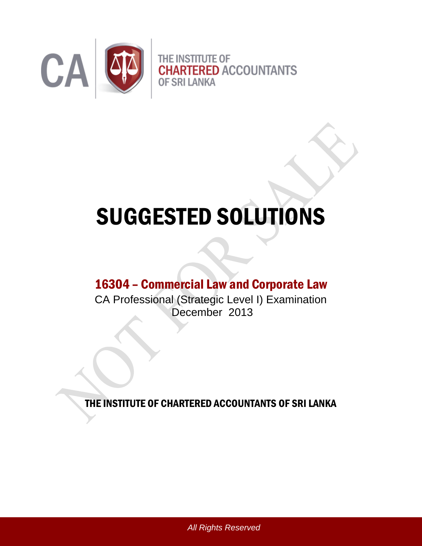

# SUGGESTED SOLUTIONS

# 16304 – Commercial Law and Corporate Law

CA Professional (Strategic Level I) Examination December 2013

THE INSTITUTE OF CHARTERED ACCOUNTANTS OF SRI LANKA

*All Rights Reserved*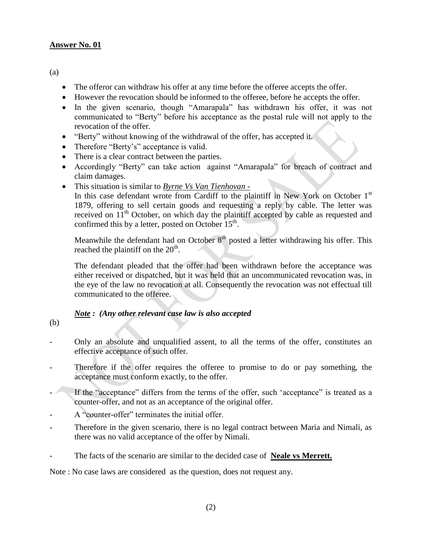(a)

- The offeror can withdraw his offer at any time before the offeree accepts the offer.
- However the revocation should be informed to the offeree, before he accepts the offer.
- In the given scenario, though "Amarapala" has withdrawn his offer, it was not communicated to "Berty" before his acceptance as the postal rule will not apply to the revocation of the offer.
- "Berty" without knowing of the withdrawal of the offer, has accepted it.
- Therefore "Berty's" acceptance is valid.
- There is a clear contract between the parties.
- Accordingly "Berty" can take action against "Amarapala" for breach of contract and claim damages.
- This situation is similar to *Byrne Vs Van Tienhovan -*

In this case defendant wrote from Cardiff to the plaintiff in New York on October  $1<sup>st</sup>$ 1879, offering to sell certain goods and requesting a reply by cable. The letter was received on  $11<sup>th</sup>$  October, on which day the plaintiff accepted by cable as requested and confirmed this by a letter, posted on October  $15<sup>th</sup>$ .

Meanwhile the defendant had on October  $8<sup>th</sup>$  posted a letter withdrawing his offer. This reached the plaintiff on the  $20<sup>th</sup>$ .

The defendant pleaded that the offer had been withdrawn before the acceptance was either received or dispatched, but it was held that an uncommunicated revocation was, in the eye of the law no revocation at all. Consequently the revocation was not effectual till communicated to the offeree.

#### *Note : (Any other relevant case law is also accepted*

(b)

- Only an absolute and unqualified assent, to all the terms of the offer, constitutes an effective acceptance of such offer.
- Therefore if the offer requires the offeree to promise to do or pay something, the acceptance must conform exactly, to the offer.
- If the "acceptance" differs from the terms of the offer, such 'acceptance" is treated as a counter-offer, and not as an acceptance of the original offer.
- A "counter-offer" terminates the initial offer.
- Therefore in the given scenario, there is no legal contract between Maria and Nimali, as there was no valid acceptance of the offer by Nimali.
- The facts of the scenario are similar to the decided case of **Neale vs Merrett.**

Note : No case laws are considered as the question, does not request any.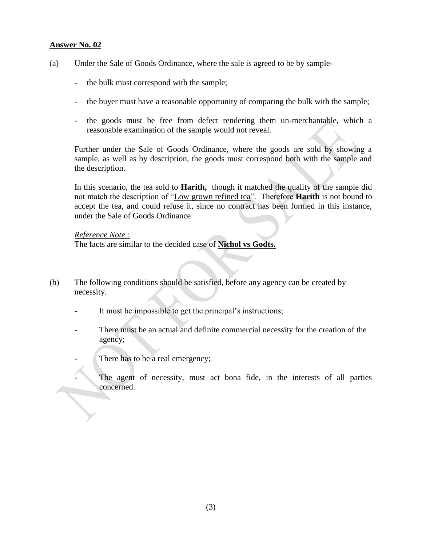- (a) Under the Sale of Goods Ordinance, where the sale is agreed to be by sample-
	- the bulk must correspond with the sample;
	- the buyer must have a reasonable opportunity of comparing the bulk with the sample;
	- the goods must be free from defect rendering them un-merchantable, which a reasonable examination of the sample would not reveal.

Further under the Sale of Goods Ordinance, where the goods are sold by showing a sample, as well as by description, the goods must correspond both with the sample and the description.

In this scenario, the tea sold to **Harith,** though it matched the quality of the sample did not match the description of "Low grown refined tea". Therefore **Harith** is not bound to accept the tea, and could refuse it, since no contract has been formed in this instance, under the Sale of Goods Ordinance

#### *Reference Note :*

The facts are similar to the decided case of **Nichol vs Godts.**

- (b) The following conditions should be satisfied, before any agency can be created by necessity.
	- It must be impossible to get the principal's instructions;
	- There must be an actual and definite commercial necessity for the creation of the agency;
	- There has to be a real emergency;
	- The agent of necessity, must act bona fide, in the interests of all parties concerned.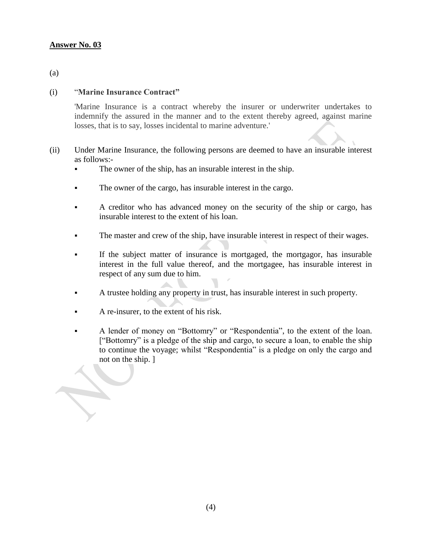(a)

#### (i) "**Marine Insurance Contract"**

'Marine Insurance is a contract whereby the insurer or underwriter undertakes to indemnify the assured in the manner and to the extent thereby agreed, against marine losses, that is to say, losses incidental to marine adventure.'

- (ii) Under Marine Insurance, the following persons are deemed to have an insurable interest as follows:-
	- The owner of the ship, has an insurable interest in the ship.
	- The owner of the cargo, has insurable interest in the cargo.
	- A creditor who has advanced money on the security of the ship or cargo, has insurable interest to the extent of his loan.
	- The master and crew of the ship, have insurable interest in respect of their wages.
	- If the subject matter of insurance is mortgaged, the mortgagor, has insurable interest in the full value thereof, and the mortgagee, has insurable interest in respect of any sum due to him.
	- A trustee holding any property in trust, has insurable interest in such property.
	- A re-insurer, to the extent of his risk.

H.

 A lender of money on "Bottomry" or "Respondentia", to the extent of the loan. ["Bottomry" is a pledge of the ship and cargo, to secure a loan, to enable the ship to continue the voyage; whilst "Respondentia" is a pledge on only the cargo and not on the ship. ]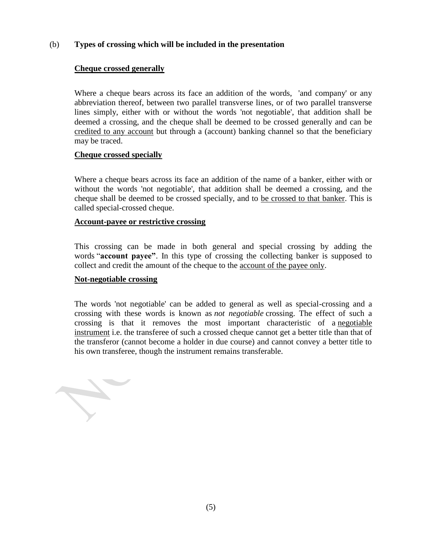# (b) **Types of crossing which will be included in the presentation**

#### **Cheque crossed generally**

Where a cheque bears across its face an addition of the words, 'and company' or any abbreviation thereof, between two parallel transverse lines, or of two parallel transverse lines simply, either with or without the words 'not negotiable', that addition shall be deemed a crossing, and the cheque shall be deemed to be crossed generally and can be credited to any account but through a (account) banking channel so that the beneficiary may be traced.

#### **Cheque crossed specially**

Where a cheque bears across its face an addition of the name of a banker, either with or without the words 'not negotiable', that addition shall be deemed a crossing, and the cheque shall be deemed to be crossed specially, and to be crossed to that banker. This is called special-crossed cheque.

#### **Account-payee or restrictive crossing**

This crossing can be made in both general and special crossing by adding the words "**account payee"**. In this type of crossing the collecting banker is supposed to collect and credit the amount of the cheque to the account of the payee only.

#### **Not-negotiable crossing**

The words 'not negotiable' can be added to general as well as special-crossing and a crossing with these words is known as *not negotiable* crossing. The effect of such a crossing is that it removes the most important characteristic of a [negotiable](http://en.wikipedia.org/wiki/Negotiable_instrument)  [instrument](http://en.wikipedia.org/wiki/Negotiable_instrument) i.e. the transferee of such a crossed cheque cannot get a better title than that of the transferor (cannot become a holder in due course) and cannot convey a better title to his own transferee, though the instrument remains transferable.

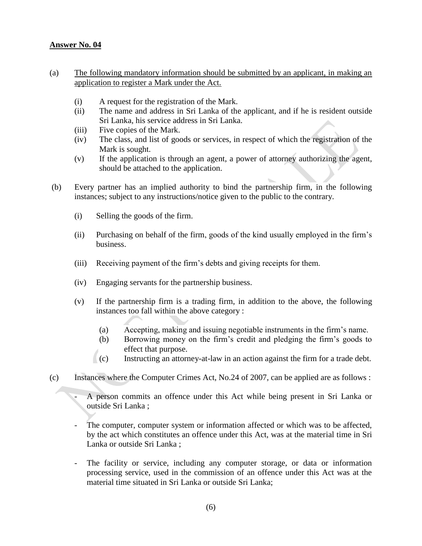- (a) The following mandatory information should be submitted by an applicant, in making an application to register a Mark under the Act.
	- (i) A request for the registration of the Mark.
	- (ii) The name and address in Sri Lanka of the applicant, and if he is resident outside Sri Lanka, his service address in Sri Lanka.
	- (iii) Five copies of the Mark.
	- (iv) The class, and list of goods or services, in respect of which the registration of the Mark is sought.
	- (v) If the application is through an agent, a power of attorney authorizing the agent, should be attached to the application.
- (b) Every partner has an implied authority to bind the partnership firm, in the following instances; subject to any instructions/notice given to the public to the contrary.
	- (i) Selling the goods of the firm.
	- (ii) Purchasing on behalf of the firm, goods of the kind usually employed in the firm's business.
	- (iii) Receiving payment of the firm's debts and giving receipts for them.
	- (iv) Engaging servants for the partnership business.
	- (v) If the partnership firm is a trading firm, in addition to the above, the following instances too fall within the above category :
		- (a) Accepting, making and issuing negotiable instruments in the firm's name.
		- (b) Borrowing money on the firm's credit and pledging the firm's goods to effect that purpose.
		- $\langle \cdot \rangle$  (c) Instructing an attorney-at-law in an action against the firm for a trade debt.
- (c) Instances where the Computer Crimes Act, No.24 of 2007, can be applied are as follows :
	- A person commits an offence under this Act while being present in Sri Lanka or outside Sri Lanka ;
	- The computer, computer system or information affected or which was to be affected, by the act which constitutes an offence under this Act, was at the material time in Sri Lanka or outside Sri Lanka ;
	- The facility or service, including any computer storage, or data or information processing service, used in the commission of an offence under this Act was at the material time situated in Sri Lanka or outside Sri Lanka;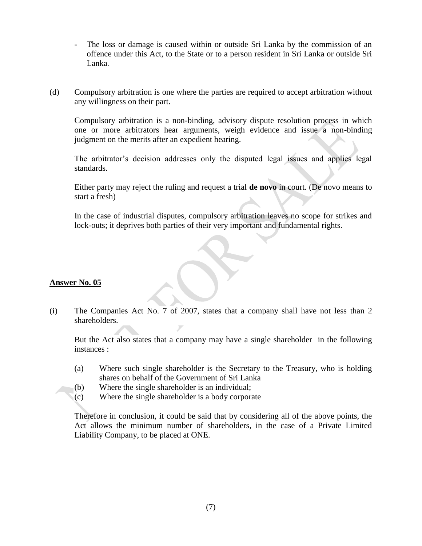- The loss or damage is caused within or outside Sri Lanka by the commission of an offence under this Act, to the State or to a person resident in Sri Lanka or outside Sri Lanka.
- (d) Compulsory arbitration is one where the parties are required to accept arbitration without any willingness on their part.

Compulsory arbitration is a non-binding, advisory dispute resolution process in which one or more arbitrators hear arguments, weigh evidence and issue a non-binding judgment on the merits after an expedient hearing.

The arbitrator's decision addresses only the disputed legal issues and applies legal standards.

Either party may reject the ruling and request a trial **de novo** in court. (De novo means to start a fresh)

In the case of industrial disputes, compulsory arbitration leaves no scope for strikes and lock-outs; it deprives both parties of their very important and fundamental rights.

# **Answer No. 05**

(i) The Companies Act No. 7 of 2007, states that a company shall have not less than 2 shareholders.

But the Act also states that a company may have a single shareholder in the following instances :

- (a) Where such single shareholder is the Secretary to the Treasury, who is holding shares on behalf of the Government of Sri Lanka
- (b) Where the single shareholder is an individual;
- (c) Where the single shareholder is a body corporate

Therefore in conclusion, it could be said that by considering all of the above points, the Act allows the minimum number of shareholders, in the case of a Private Limited Liability Company, to be placed at ONE.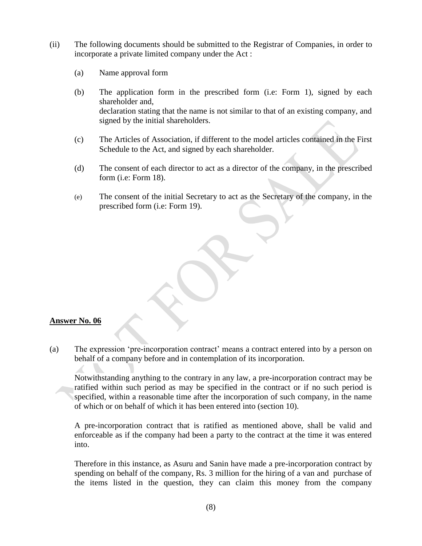- (ii) The following documents should be submitted to the Registrar of Companies, in order to incorporate a private limited company under the Act :
	- (a) Name approval form
	- (b) The application form in the prescribed form (i.e: Form 1), signed by each shareholder and, declaration stating that the name is not similar to that of an existing company, and signed by the initial shareholders.
	- (c) The Articles of Association, if different to the model articles contained in the First Schedule to the Act, and signed by each shareholder.
	- (d) The consent of each director to act as a director of the company, in the prescribed form (i.e: Form 18).
	- (e) The consent of the initial Secretary to act as the Secretary of the company, in the prescribed form (i.e: Form 19).

(a) The expression 'pre-incorporation contract' means a contract entered into by a person on behalf of a company before and in contemplation of its incorporation.

Notwithstanding anything to the contrary in any law, a pre-incorporation contract may be ratified within such period as may be specified in the contract or if no such period is specified, within a reasonable time after the incorporation of such company, in the name of which or on behalf of which it has been entered into (section 10).

A pre-incorporation contract that is ratified as mentioned above, shall be valid and enforceable as if the company had been a party to the contract at the time it was entered into.

Therefore in this instance, as Asuru and Sanin have made a pre-incorporation contract by spending on behalf of the company, Rs. 3 million for the hiring of a van and purchase of the items listed in the question, they can claim this money from the company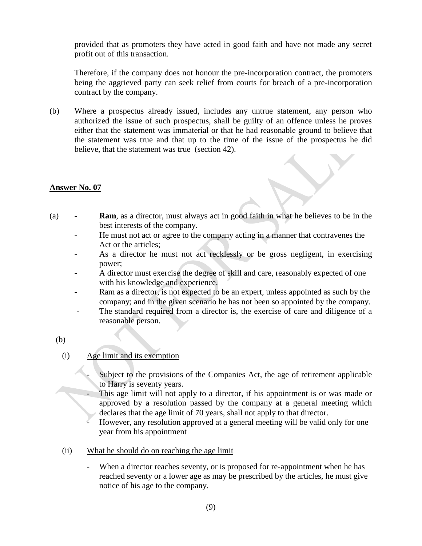provided that as promoters they have acted in good faith and have not made any secret profit out of this transaction.

Therefore, if the company does not honour the pre-incorporation contract, the promoters being the aggrieved party can seek relief from courts for breach of a pre-incorporation contract by the company.

(b) Where a prospectus already issued, includes any untrue statement, any person who authorized the issue of such prospectus, shall be guilty of an offence unless he proves either that the statement was immaterial or that he had reasonable ground to believe that the statement was true and that up to the time of the issue of the prospectus he did believe, that the statement was true (section 42).

#### **Answer No. 07**

- (a) **Ram**, as a director, must always act in good faith in what he believes to be in the best interests of the company.
	- He must not act or agree to the company acting in a manner that contravenes the Act or the articles;
	- As a director he must not act recklessly or be gross negligent, in exercising power;
	- A director must exercise the degree of skill and care, reasonably expected of one with his knowledge and experience.
	- Ram as a director, is not expected to be an expert, unless appointed as such by the company; and in the given scenario he has not been so appointed by the company.
	- The standard required from a director is, the exercise of care and diligence of a reasonable person.
	- (b)

# (i) Age limit and its exemption

- Subject to the provisions of the Companies Act, the age of retirement applicable to Harry is seventy years.
- This age limit will not apply to a director, if his appointment is or was made or approved by a resolution passed by the company at a general meeting which declares that the age limit of 70 years, shall not apply to that director.
- However, any resolution approved at a general meeting will be valid only for one year from his appointment
- (ii) What he should do on reaching the age limit
	- When a director reaches seventy, or is proposed for re-appointment when he has reached seventy or a lower age as may be prescribed by the articles, he must give notice of his age to the company.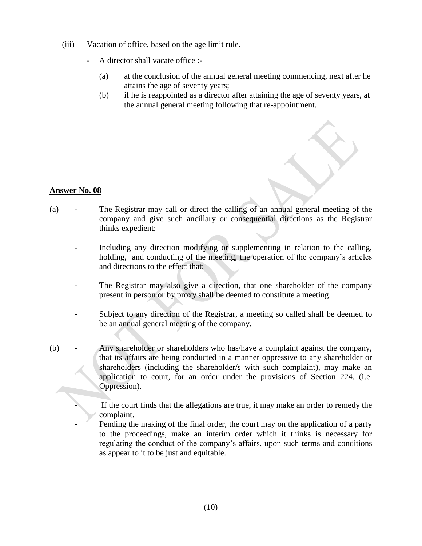#### (iii) Vacation of office, based on the age limit rule.

- A director shall vacate office :-
	- (a) at the conclusion of the annual general meeting commencing, next after he attains the age of seventy years;
	- (b) if he is reappointed as a director after attaining the age of seventy years, at the annual general meeting following that re-appointment.

# **Answer No. 08**

- (a) The Registrar may call or direct the calling of an annual general meeting of the company and give such ancillary or consequential directions as the Registrar thinks expedient;
	- Including any direction modifying or supplementing in relation to the calling, holding, and conducting of the meeting, the operation of the company's articles and directions to the effect that;
	- The Registrar may also give a direction, that one shareholder of the company present in person or by proxy shall be deemed to constitute a meeting.
	- Subject to any direction of the Registrar, a meeting so called shall be deemed to be an annual general meeting of the company.
- (b) Any shareholder or shareholders who has/have a complaint against the company, that its affairs are being conducted in a manner oppressive to any shareholder or shareholders (including the shareholder/s with such complaint), may make an application to court, for an order under the provisions of Section 224. (i.e. Oppression).

If the court finds that the allegations are true, it may make an order to remedy the complaint.

Pending the making of the final order, the court may on the application of a party to the proceedings, make an interim order which it thinks is necessary for regulating the conduct of the company's affairs, upon such terms and conditions as appear to it to be just and equitable.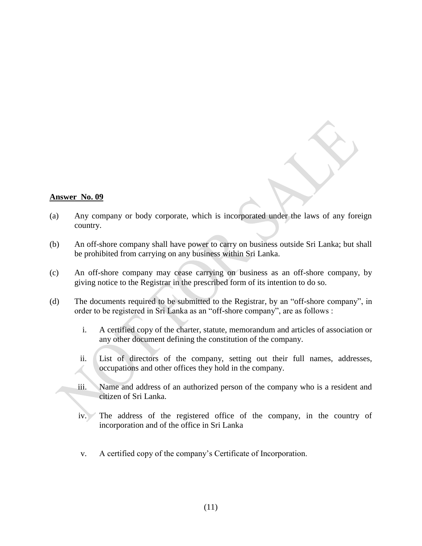- (a) Any company or body corporate, which is incorporated under the laws of any foreign country.
- (b) An off-shore company shall have power to carry on business outside Sri Lanka; but shall be prohibited from carrying on any business within Sri Lanka.
- (c) An off-shore company may cease carrying on business as an off-shore company, by giving notice to the Registrar in the prescribed form of its intention to do so.
- (d) The documents required to be submitted to the Registrar, by an "off-shore company", in order to be registered in Sri Lanka as an "off-shore company", are as follows :
	- i. A certified copy of the charter, statute, memorandum and articles of association or any other document defining the constitution of the company.
	- ii. List of directors of the company, setting out their full names, addresses, occupations and other offices they hold in the company.
	- iii. Name and address of an authorized person of the company who is a resident and citizen of Sri Lanka.
	- iv. The address of the registered office of the company, in the country of incorporation and of the office in Sri Lanka
	- v. A certified copy of the company's Certificate of Incorporation.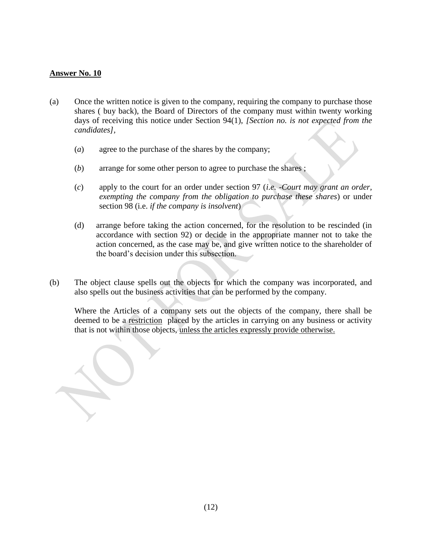- (a) Once the written notice is given to the company, requiring the company to purchase those shares ( buy back), the Board of Directors of the company must within twenty working days of receiving this notice under Section 94(1), *[Section no. is not expected from the candidates],*
	- (*a*) agree to the purchase of the shares by the company;
	- (*b*) arrange for some other person to agree to purchase the shares ;
	- (*c*) apply to the court for an order under section 97 (*i.e.* -*Court may grant an order, exempting the company from the obligation to purchase these shares*) or under section 98 (i.e. *if the company is insolvent*)
	- (d) arrange before taking the action concerned, for the resolution to be rescinded (in accordance with section 92) or decide in the appropriate manner not to take the action concerned, as the case may be, and give written notice to the shareholder of the board's decision under this subsection.
- (b) The object clause spells out the objects for which the company was incorporated, and also spells out the business activities that can be performed by the company.

Where the Articles of a company sets out the objects of the company, there shall be deemed to be a restriction placed by the articles in carrying on any business or activity that is not within those objects, unless the articles expressly provide otherwise.